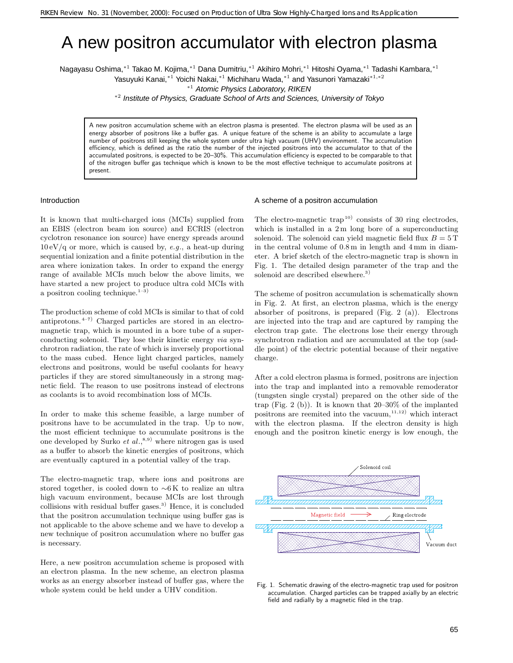# A new positron accumulator with electron plasma

Nagayasu Oshima,∗<sup>1</sup> Takao M. Kojima,∗<sup>1</sup> Dana Dumitriu,∗<sup>1</sup> Akihiro Mohri,∗<sup>1</sup> Hitoshi Oyama,∗<sup>1</sup> Tadashi Kambara,∗<sup>1</sup>

Yasuyuki Kanai,∗<sup>1</sup> Yoichi Nakai,∗<sup>1</sup> Michiharu Wada,∗<sup>1</sup> and Yasunori Yamazaki∗1*,*∗<sup>2</sup>

<sup>∗</sup><sup>2</sup> Institute of Physics, Graduate School of Arts and Sciences, University of Tokyo

A new positron accumulation scheme with an electron plasma is presented. The electron plasma will be used as an energy absorber of positrons like a buffer gas. A unique feature of the scheme is an ability to accumulate a large number of positrons still keeping the whole system under ultra high vacuum (UHV) environment. The accumulation efficiency, which is defined as the ratio the number of the injected positrons into the accumulator to that of the accumulated positrons, is expected to be 20–30%. This accumulation efficiency is expected to be comparable to that of the nitrogen buffer gas technique which is known to be the most effective technique to accumulate positrons at present.

#### Introduction

It is known that multi-charged ions (MCIs) supplied from an EBIS (electron beam ion source) and ECRIS (electron cyclotron resonance ion source) have energy spreads around 10 eV/q or more, which is caused by, *e.g*., a heat-up during sequential ionization and a finite potential distribution in the area where ionization takes. In order to expand the energy range of available MCIs much below the above limits, we have started a new project to produce ultra cold MCIs with a positron cooling technique. $1-3$ )

The production scheme of cold MCIs is similar to that of cold antiprotons.  $4-7$  Charged particles are stored in an electromagnetic trap, which is mounted in a bore tube of a superconducting solenoid. They lose their kinetic energy *via* synchrotron radiation, the rate of which is inversely proportional to the mass cubed. Hence light charged particles, namely electrons and positrons, would be useful coolants for heavy particles if they are stored simultaneously in a strong magnetic field. The reason to use positrons instead of electrons as coolants is to avoid recombination loss of MCIs.

In order to make this scheme feasible, a large number of positrons have to be accumulated in the trap. Up to now, the most efficient technique to accumulate positrons is the one developed by Surko  $et al.,<sup>8,9)</sup>$  where nitrogen gas is used as a buffer to absorb the kinetic energies of positrons, which are eventually captured in a potential valley of the trap.

The electro-magnetic trap, where ions and positrons are stored together, is cooled down to ∼6 K to realize an ultra high vacuum environment, because MCIs are lost through collisions with residual buffer gases.<sup>3</sup>) Hence, it is concluded that the positron accumulation technique using buffer gas is not applicable to the above scheme and we have to develop a new technique of positron accumulation where no buffer gas is necessary.

Here, a new positron accumulation scheme is proposed with an electron plasma. In the new scheme, an electron plasma works as an energy absorber instead of buffer gas, where the whole system could be held under a UHV condition.

#### A scheme of a positron accumulation

The electro-magnetic  $trap^{10}$  consists of 30 ring electrodes, which is installed in a  $2m$  long bore of a superconducting solenoid. The solenoid can yield magnetic field flux  $B = 5$  T in the central volume of 0.8 m in length and 4 mm in diameter. A brief sketch of the electro-magnetic trap is shown in Fig. 1. The detailed design parameter of the trap and the solenoid are described elsewhere.<sup>3)</sup>

The scheme of positron accumulation is schematically shown in Fig. 2. At first, an electron plasma, which is the energy absorber of positrons, is prepared (Fig. 2 (a)). Electrons are injected into the trap and are captured by ramping the electron trap gate. The electrons lose their energy through synchrotron radiation and are accumulated at the top (saddle point) of the electric potential because of their negative charge.

After a cold electron plasma is formed, positrons are injection into the trap and implanted into a removable remoderator (tungsten single crystal) prepared on the other side of the trap (Fig. 2 (b)). It is known that  $20-30\%$  of the implanted positrons are reemited into the vacuum, $11,12)$  which interact with the electron plasma. If the electron density is high enough and the positron kinetic energy is low enough, the



Fig. 1. Schematic drawing of the electro-magnetic trap used for positron accumulation. Charged particles can be trapped axially by an electric field and radially by a magnetic filed in the trap.

<sup>∗</sup><sup>1</sup> Atomic Physics Laboratory, RIKEN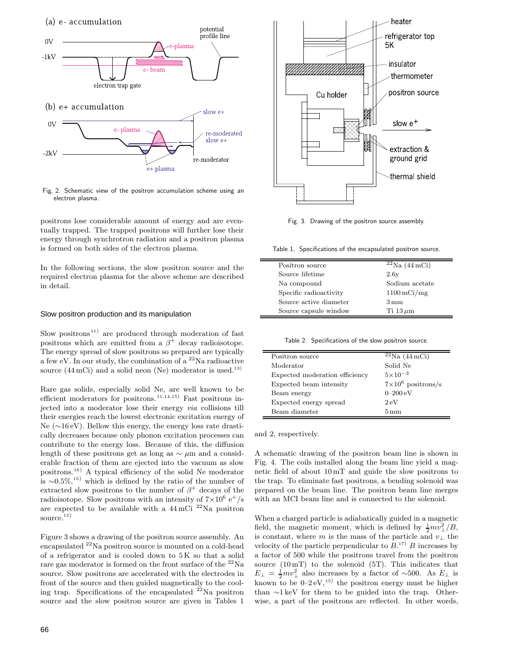(a) e- accumulation



Fig. 2. Schematic view of the positron accumulation scheme using an electron plasma.

positrons lose considerable amount of energy and are eventually trapped. The trapped positrons will further lose their energy through synchrotron radiation and a positron plasma is formed on both sides of the electron plasma.

In the following sections, the slow positron source and the required electron plasma for the above scheme are described in detail.

## Slow positron production and its manipulation

Slow positrons<sup>11)</sup> are produced through moderation of fast positrons which are emitted from a  $\beta^+$  decay radioisotope. The energy spread of slow positrons so prepared are typically a few eV. In our study, the combination of a  $^{22}$ Na radioactive source  $(44 \,\mathrm{mCi})$  and a solid neon (Ne) moderator is used.<sup>13)</sup>

Rare gas solids, especially solid Ne, are well known to be efficient moderators for positrons.<sup>11,14,15)</sup> Fast positrons injected into a moderator lose their energy *via* collisions till their energies reach the lowest electronic excitation energy of Ne (∼16 eV). Bellow this energy, the energy loss rate drastically decreases because only phonon excitation processes can contribute to the energy loss. Because of this, the diffusion length of these positrons get as long as  $\sim \mu$ m and a considerable fraction of them are ejected into the vacuum as slow positrons.<sup>16</sup>) A typical efficiency of the solid Ne moderator is ∼0.5%,<sup>15)</sup> which is defined by the ratio of the number of extracted slow positrons to the number of  $\beta^+$  decays of the radioisotope. Slow positrons with an intensity of  $7\times10^6$  e<sup>+</sup>/s are expected to be available with a  $44 \text{ mCi}$ <sup>22</sup>Na positron source. $15)$ 

Figure 3 shows a drawing of the positron source assembly. An encapsulated <sup>22</sup>Na positron source is mounted on a cold-head of a refrigerator and is cooled down to  $5K$  so that a solid rare gas moderator is formed on the front surface of the <sup>22</sup>Na source. Slow positrons are accelerated with the electrodes in front of the source and then guided magnetically to the cooling trap. Specifications of the encapsulated  $22$ Na positron source and the slow positron source are given in Tables 1



Fig. 3. Drawing of the positron source assembly.

Table 1. Specifications of the encapsulated positron source.

| Positron source        | $\sqrt{22}$ Na (44 mCi)  |
|------------------------|--------------------------|
| Source lifetime        | 2.6y                     |
| Na compound            | Sodium acetate           |
| Specific radioactivity | $1100 \,\mathrm{mCi/mg}$ |
| Source active diameter | $3 \,\mathrm{mm}$        |
| Source capsule window  | Ti 13 $\mu$ m            |

Table 2. Specifications of the slow positron source.

| Positron source                | ${}^{22}$ Na (44 mCi)     |
|--------------------------------|---------------------------|
| Moderator                      | Solid Ne                  |
| Expected moderation efficiency | $5 \times 10^{-3}$        |
| Expected beam intensity        | $7\times10^6$ positrons/s |
| Beam energy                    | $0 - 200 \text{ eV}$      |
| Expected energy spread         | $2\,\mathrm{eV}$          |
| Beam diameter                  | $5 \,\mathrm{mm}$         |

and 2, respectively.

 $\equiv$ 

A schematic drawing of the positron beam line is shown in Fig. 4. The coils installed along the beam line yield a magnetic field of about 10 mT and guide the slow positrons to the trap. To eliminate fast positrons, a bending solenoid was prepared on the beam line. The positron beam line merges with an MCI beam line and is connected to the solenoid.

When a charged particle is adiabatically guided in a magnetic field, the magnetic moment, which is defined by  $\frac{1}{2}mv_{\perp}^2/B$ , is constant, where m is the mass of the particle and  $v_{\perp}$  the velocity of the particle perpendicular to  $B^{17}$ . B increases by a factor of 500 while the positrons travel from the positron source  $(10\,\text{mT})$  to the solenoid  $(5\,\text{T})$ . This indicates that  $E_{\perp} = \frac{1}{2}mv_{\perp}^2$  also increases by a factor of ~500. As  $E_{\perp}$  is known to be  $0-2$  eV,<sup>15)</sup> the positron energy must be higher than ∼1 keV for them to be guided into the trap. Otherwise, a part of the positrons are reflected. In other words,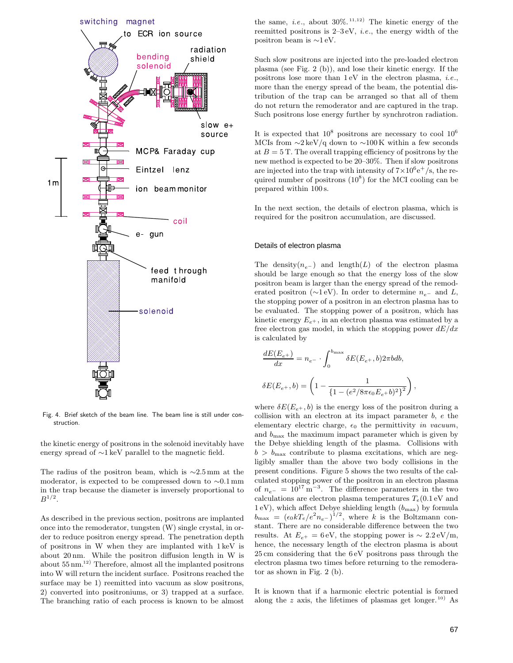

Fig. 4. Brief sketch of the beam line. The beam line is still under construction.

the kinetic energy of positrons in the solenoid inevitably have energy spread of ∼1 keV parallel to the magnetic field.

The radius of the positron beam, which is ∼2.5 mm at the moderator, is expected to be compressed down to ∼0.1 mm in the trap because the diameter is inversely proportional to  $B^{1/2}$ .

As described in the previous section, positrons are implanted once into the remoderator, tungsten (W) single crystal, in order to reduce positron energy spread. The penetration depth of positrons in W when they are implanted with 1 keV is about 20 nm. While the positron diffusion length in W is about  $55\,\mathrm{nm.}^{12)}$  Therefore, almost all the implanted positrons into W will return the incident surface. Positrons reached the surface may be 1) reemitted into vacuum as slow positrons, 2) converted into positroniums, or 3) trapped at a surface. The branching ratio of each process is known to be almost the same, *i.e.*, about  $30\%$ . <sup>11,12</sup> The kinetic energy of the reemitted positrons is 2–3 eV, *i.e*., the energy width of the positron beam is ∼1 eV.

Such slow positrons are injected into the pre-loaded electron plasma (see Fig. 2 (b)), and lose their kinetic energy. If the positrons lose more than 1 eV in the electron plasma, *i.e*., more than the energy spread of the beam, the potential distribution of the trap can be arranged so that all of them do not return the remoderator and are captured in the trap. Such positrons lose energy further by synchrotron radiation.

It is expected that  $10^8$  positrons are necessary to cool  $10^6$ MCIs from  $\sim$ 2 keV/q down to  $\sim$ 100 K within a few seconds at  $B = 5$  T. The overall trapping efficiency of positrons by the new method is expected to be 20–30%. Then if slow positrons are injected into the trap with intensity of  $7 \times 10^6$ e<sup>+</sup>/s, the required number of positrons  $(10^8)$  for the MCI cooling can be prepared within 100 s.

In the next section, the details of electron plasma, which is required for the positron accumulation, are discussed.

#### Details of electron plasma

The density $(n_{e}$ <sup>-</sup> ) and length(L) of the electron plasma should be large enough so that the energy loss of the slow positron beam is larger than the energy spread of the remoderated positron (∼1 eV). In order to determine n*<sup>e</sup><sup>−</sup>* and L, the stopping power of a positron in an electron plasma has to be evaluated. The stopping power of a positron, which has kinetic energy  $E_{e+}$ , in an electron plasma was estimated by a free electron gas model, in which the stopping power  $dE/dx$ is calculated by

,

$$
\frac{dE(E_{e^+})}{dx} = n_{e^-} \cdot \int_0^{b_{\text{max}}} \delta E(E_{e^+}, b) 2\pi b db,
$$
  

$$
\delta E(E_{e^+}, b) = \left(1 - \frac{1}{\left\{1 - (e^2/8\pi\epsilon_0 E_{e^+} b)^2\right\}^2}\right),
$$

where  $\delta E(E_{e^+}, b)$  is the energy loss of the positron during a collision with an electron at its impact parameter b, e the elementary electric charge,  $\epsilon_0$  the permittivity *in vacuum*, and  $b_{\text{max}}$  the maximum impact parameter which is given by the Debye shielding length of the plasma. Collisions with  $b > b_{\text{max}}$  contribute to plasma excitations, which are negligibly smaller than the above two body collisions in the present conditions. Figure 5 shows the two results of the calculated stopping power of the positron in an electron plasma of  $n_{e^-} = 10^{17} \text{ m}^{-3}$ . The difference parameters in the two calculations are electron plasma temperatures  $T_e(0.1)$  eV and  $1 \text{ eV}$ ), which affect Debye shielding length  $(b_{\text{max}})$  by formula  $b_{\text{max}} = (\epsilon_0 k T_e / e^2 n_{e^-})^{1/2}$ , where k is the Boltzmann constant. There are no considerable difference between the two results. At  $E_{e^+} = 6 \text{ eV}$ , the stopping power is ~ 2.2 eV/m, hence, the necessary length of the electron plasma is about 25 cm considering that the 6 eV positrons pass through the electron plasma two times before returning to the remoderator as shown in Fig. 2 (b).

It is known that if a harmonic electric potential is formed along the z axis, the lifetimes of plasmas get longer.<sup>10)</sup> As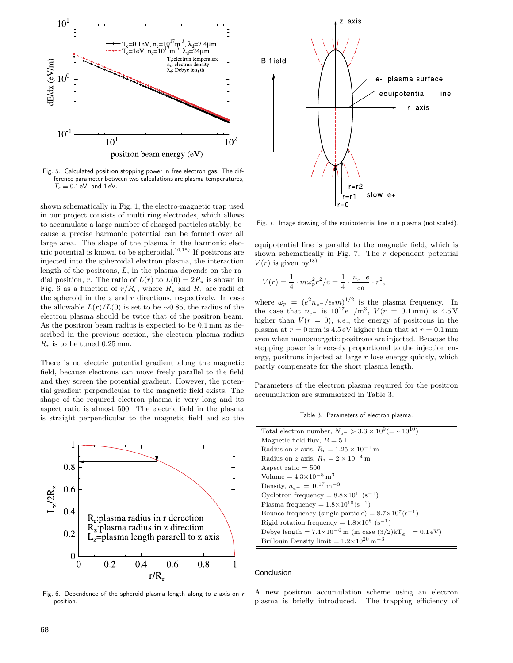

Fig. 5. Calculated positron stopping power in free electron gas. The difference parameter between two calculations are plasma temperatures,  $T_e = 0.1$  eV, and  $1$  eV.

shown schematically in Fig. 1, the electro-magnetic trap used in our project consists of multi ring electrodes, which allows to accumulate a large number of charged particles stably, because a precise harmonic potential can be formed over all large area. The shape of the plasma in the harmonic electric potential is known to be spheroidal.<sup>10,18)</sup> If positrons are injected into the spheroidal electron plasma, the interaction length of the positrons, L, in the plasma depends on the radial position, r. The ratio of  $L(r)$  to  $L(0) = 2R_z$  is shown in Fig. 6 as a function of  $r/R_r$ , where  $R_z$  and  $R_r$  are radii of the spheroid in the  $z$  and  $r$  directions, respectively. In case the allowable  $L(r)/L(0)$  is set to be ∼0.85, the radius of the electron plasma should be twice that of the positron beam. As the positron beam radius is expected to be 0.1 mm as described in the previous section, the electron plasma radius  $R_r$  is to be tuned 0.25 mm.

There is no electric potential gradient along the magnetic field, because electrons can move freely parallel to the field and they screen the potential gradient. However, the potential gradient perpendicular to the magnetic field exists. The shape of the required electron plasma is very long and its aspect ratio is almost 500. The electric field in the plasma is straight perpendicular to the magnetic field and so the



Fig. 6. Dependence of the spheroid plasma length along to *z* axis on *r* position.



Fig. 7. Image drawing of the equipotential line in a plasma (not scaled).

equipotential line is parallel to the magnetic field, which is shown schematically in Fig. 7. The  $r$  dependent potential  $V(r)$  is given by<sup>18)</sup>

$$
V(r) = \frac{1}{4} \cdot m \omega_p^2 r^2 / e = \frac{1}{4} \cdot \frac{n_{e^-} e}{\varepsilon_0} \cdot r^2,
$$

where  $\omega_p = (e^2 n_{e^-}/\epsilon_0 m)^{1/2}$  is the plasma frequency. In the case that  $n_e$ <sup>*-*</sup> is 10<sup>17</sup>e<sup>−</sup>/m<sup>3</sup>,  $V(r = 0.1 \text{ mm})$  is 4.5 V higher than  $V(r = 0)$ , *i.e.*, the energy of positrons in the plasma at  $r = 0$  mm is 4.5 eV higher than that at  $r = 0.1$  mm even when monoenergetic positrons are injected. Because the stopping power is inversely proportional to the injection energy, positrons injected at large  $r$  lose energy quickly, which partly compensate for the short plasma length.

Parameters of the electron plasma required for the positron accumulation are summarized in Table 3.

Table 3. Parameters of electron plasma.

| Total electron number, $N_{e^-} > 3.3 \times 10^9 (=\sim 10^{10})$          |  |  |
|-----------------------------------------------------------------------------|--|--|
| Magnetic field flux, $B = 5T$                                               |  |  |
| Radius on r axis, $R_r = 1.25 \times 10^{-1}$ m                             |  |  |
| Radius on z axis, $R_z = 2 \times 10^{-4}$ m                                |  |  |
| Aspect ratio $= 500$                                                        |  |  |
| Volume = $4.3 \times 10^{-8}$ m <sup>3</sup>                                |  |  |
| Density, $n_{e^-} = 10^{17} \,\mathrm{m}^{-3}$                              |  |  |
| Cyclotron frequency = $8.8 \times 10^{11}$ (s <sup>-1</sup> )               |  |  |
| Plasma frequency = $1.8 \times 10^{10}$ (s <sup>-1</sup> )                  |  |  |
| Bounce frequency (single particle) = $8.7 \times 10^{7}$ (s <sup>-1</sup> ) |  |  |
| Rigid rotation frequency = $1.8 \times 10^8$ (s <sup>-1</sup> )             |  |  |
| Debye length = $7.4 \times 10^{-6}$ m (in case $(3/2)kT_{e^-} = 0.1 eV$ )   |  |  |
| Brillouin Density limit = $1.2\!\times\!10^{20}\,\mathrm{m}^{-3}$           |  |  |

## Conclusion

 $\overline{\phantom{0}}$ 

A new positron accumulation scheme using an electron plasma is briefly introduced. The trapping efficiency of